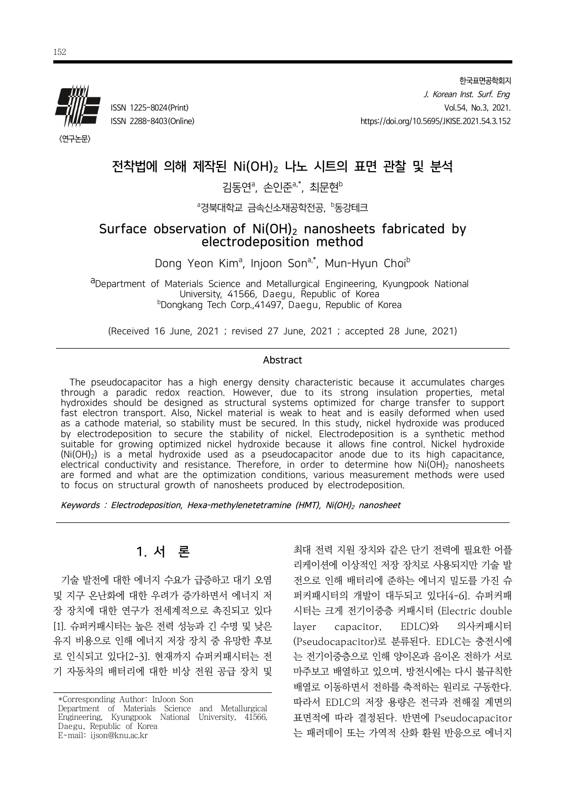

한국표면공학회지 J. Korean Inst. Surf. Eng ISSN 1225-8024(Print) Vol.54, No.3, 2021. ISSN 2288-8403(Online) https://doi.org/10.5695/JKISE.2021.54.3.152

<연구논문>

# 전착법에 의해 제작된 Ni(OH)<sub>2</sub> 나노 시트의 표면 관찰 및 분석

## 김동연ª, 손인준ª<sup>,\*</sup>, 최문현<sup>b</sup>

<sup>a</sup>경북대학교 금속신소재공학전공, <sup>b</sup>동강테크

### Surface observation of  $Ni(OH)_2$  nanosheets fabricated by electrodeposition method

Dong Yeon Kim<sup>a</sup>, Injoon Son<sup>a,\*</sup>, Mun-Hyun Choi<sup>b</sup>

aDepartment of Materials Science and Metallurgical Engineering, Kyungpook National University, 41566, Daegu, Republic of Korea bDongkang Tech Corp.,41497, Daegu, Republic of Korea

(Received 16 June, 2021 ; revised 27 June, 2021 ; accepted 28 June, 2021)

#### Abstract

The pseudocapacitor has a high energy density characteristic because it accumulates charges through a paradic redox reaction. However, due to its strong insulation properties, metal hydroxides should be designed as structural systems optimized for charge transfer to support fast electron transport. Also, Nickel material is weak to heat and is easily deformed when used as a cathode material, so stability must be secured. In this study, nickel hydroxide was produced by electrodeposition to secure the stability of nickel. Electrodeposition is a synthetic method suitable for growing optimized nickel hydroxide because it allows fine control. Nickel hydroxide  $(Ni(OH)_2)$  is a metal hydroxide used as a pseudocapacitor anode due to its high capacitance, electrical conductivity and resistance. Therefore, in order to determine how  $Ni(OH)_{2}$  nanosheets are formed and what are the optimization conditions, various measurement methods were used to focus on structural growth of nanosheets produced by electrodeposition.

Keywords : Electrodeposition, Hexa-methylenetetramine (HMT), Ni(OH)<sub>2</sub> nanosheet

# 1. 서 론

기술 발전에 대한 에너지 수요가 급증하고 대기 오염 및 지구 온난화에 대한 우려가 증가하면서 에너지 저 장 장치에 대한 연구가 전세계적으로 촉진되고 있다 [1]. 슈퍼커패시터는 높은 전력 성능과 긴 수명 및 낮은 유지 비용으로 인해 에너지 저장 장치 중 유망한 후보 로 인식되고 있다[2-3]. 현재까지 슈퍼커패시터는 전 기 자동차의 배터리에 대한 비상 전원 공급 장치 및

최대 전력 지원 장치와 같은 단기 전력에 필요한 어플 리케이션에 이상적인 저장 장치로 사용되지만 기술 발 전으로 인해 배터리에 준하는 에너지 밀도를 가진 슈 퍼커패시터의 개발이 대두되고 있다[4-6]. 슈퍼커패 시터는 크게 전기이중층 커패시터 (Electric double layer capacitor, EDLC)와 의사커패시터 (Pseudocapacitor)로 분류된다. EDLC는 충전시에 는 전기이중층으로 인해 양이온과 음이온 전하가 서로 마주보고 배열하고 있으며, 방전시에는 다시 불규칙한 배열로 이동하면서 전하를 축적하는 원리로 구동한다. 따라서 EDLC의 저장 용량은 전극과 전해질 계면의 표면적에 따라 결정된다. 반면에 Pseudocapacitor 는 패러데이 또는 가역적 산화 환원 반응으로 에너지

<sup>\*</sup>Corresponding Author: InJoon Son Department of Materials Science and Metallurgical Engineering, Kyungpook National University, 41566, Daegu, Republic of Korea E-mail: ijson@knu.ac.kr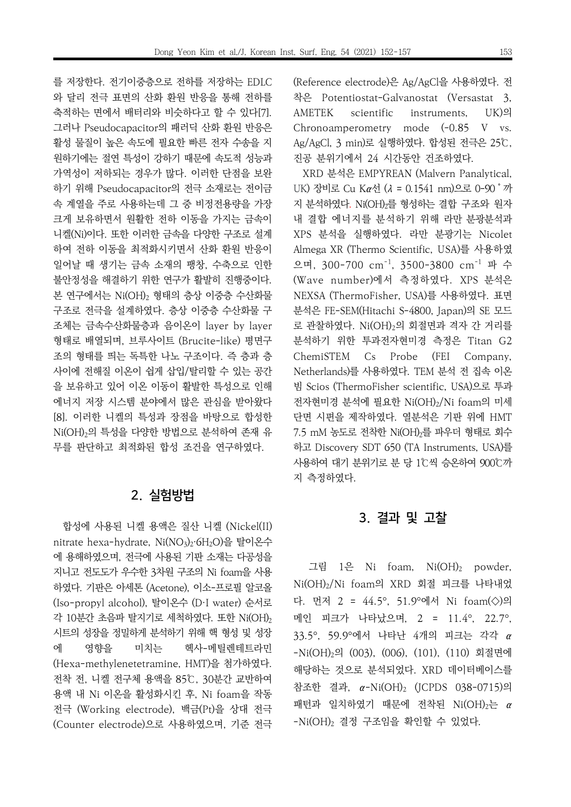를 저장한다. 전기이중층으로 전하를 저장하는 EDLC 와 달리 전극 표면의 산화 환원 반응을 통해 전하를 축적하는 면에서 배터리와 비슷하다고 할 수 있다[7]. 그러나 Pseudocapacitor의 패러딕 산화 환원 반응은 활성 물질이 높은 속도에 필요한 빠른 전자 수송을 지 원하기에는 절연 특성이 강하기 때문에 속도적 성능과 가역성이 저하되는 경우가 많다. 이러한 단점을 보완 하기 위해 Pseudocapacitor의 전극 소재로는 전이금 속 계열을 주로 사용하는데 그 중 비정전용량을 가장 크게 보유하면서 원활한 전하 이동을 가지는 금속이 니켈(Ni)이다. 또한 이러한 금속을 다양한 구조로 설계 하여 전하 이동을 최적화시키면서 산화 환원 반응이 일어날 때 생기는 금속 소재의 팽창, 수축으로 인한 불안정성을 해결하기 위한 연구가 활발히 진행중이다. 본 연구에서는 Ni(OH)<sup>2</sup> 형태의 층상 이중층 수산화물 구조로 전극을 설계하였다. 층상 이중층 수산화물 구 조체는 금속수산화물층과 음이온이 layer by layer 형태로 배열되며, 브루사이트 (Brucite-like) 평면구 조의 형태를 띄는 독특한 나노 구조이다. 즉 층과 층 사이에 전해질 이온이 쉽게 삽입/탈리할 수 있는 공간 을 보유하고 있어 이온 이동이 활발한 특성으로 인해 에너지 저장 시스템 분야에서 많은 관심을 받아왔다 [8]. 이러한 니켈의 특성과 장점을 바탕으로 합성한 Ni(OH)<sub>2</sub>의 특성을 다양한 방법으로 분석하여 존재 유 무를 판단하고 최적화된 합성 조건을 연구하였다.

## 2. 실험방법

합성에 사용된 니켈 용액은 질산 니켈 (Nickel(II) nitrate hexa-hydrate, Ni(NO<sub>3</sub>)<sub>2</sub>·6H<sub>2</sub>O)을 탈이온수 에 용해하였으며, 전극에 사용된 기판 소재는 다공성을 지니고 전도도가 우수한 3차원 구조의 Ni foam을 사용 하였다. 기판은 아세톤 (Acetone), 이소-프로필 알코올 (Iso-propyl alcohol), 탈이온수 (D·I water) 순서로 각 10분간 초음파 탈지기로 세척하였다. 또한 Ni(OH)<sup>2</sup> 시트의 성장을 정밀하게 분석하기 위해 핵 형성 및 성장 에 영향을 미치는 헥사-메틸렌테트라민 (Hexa-methylenetetramine, HMT)을 첨가하였다. 전착 전, 니켈 전구체 용액을 85℃, 30분간 교반하여 용액 내 Ni 이온을 활성화시킨 후, Ni foam을 작동 전극 (Working electrode), 백금(Pt)을 상대 전극 (Counter electrode)으로 사용하였으며, 기준 전극

(Reference electrode)은 Ag/AgCl을 사용하였다. 전 착은 Potentiostat-Galvanostat (Versastat 3, AMETEK scientific instruments, UK)의 Chronoamperometry mode (-0.85 V vs. Ag/AgCl, 3 min)로 실행하였다. 합성된 전극은 25℃, 진공 분위기에서 24 시간동안 건조하였다.

XRD 분석은 EMPYREAN (Malvern Panalytical, UK) 장비로 Cu Kα선 (λ = 0.1541 nm)으로 0-90˚까 지 분석하였다. Ni(OH)2를 형성하는 결합 구조와 원자 내 결합 에너지를 분석하기 위해 라만 분광분석과 XPS 분석을 실행하였다. 라만 분광기는 Nicolet Almega XR (Thermo Scientific, USA)를 사용하였 으며, 300-700 cm<sup>-1</sup>, 3500-3800 cm<sup>-1</sup> 파 수 (Wave number)에서 측정하였다. XPS 분석은 NEXSA (ThermoFisher, USA)를 사용하였다. 표면 분석은 FE-SEM(Hitachi S-4800, Japan)의 SE 모드 로 관찰하였다. Ni(OH)2의 회절면과 격자 간 거리를 분석하기 위한 투과전자현미경 측정은 Titan G2 ChemiSTEM Cs Probe (FEI Company, Netherlands)를 사용하였다. TEM 분석 전 집속 이온 빔 Scios (ThermoFisher scientific, USA)으로 투과 전자현미경 분석에 필요한 Ni(OH)2/Ni foam의 미세 단면 시편을 제작하였다. 열분석은 기판 위에 HMT 7.5 mM 농도로 전착한 Ni(OH)2를 파우더 형태로 회수 하고 Discovery SDT 650 (TA Instruments, USA)를 사용하여 대기 분위기로 분 당 1℃씩 승온하여 900℃까 지 측정하였다.

## 3. 결과 및 고찰

그림  $1$ 은 Ni foam, Ni $(OH)_2$  powder, Ni(OH)2/Ni foam의 XRD 회절 피크를 나타내었 다. 먼저 2 = 44.5°, 51.9°에서 Ni foam(◇)의 메인 피크가 나타났으며, 2 = 11.4°, 22.7°, 33.5°, 59.9°에서 나타난 4개의 피크는 각각 α -Ni(OH)2의 (003), (006), (101), (110) 회절면에 해당하는 것으로 분석되었다. XRD 데이터베이스를 참조한 결과, α-Ni(OH)<sup>2</sup> (JCPDS 038-0715)의 패턴과 일치하였기 때문에 전착된 Ni(OH)2는 α  $-Ni(OH)_2$  결정 구조임을 확인할 수 있었다.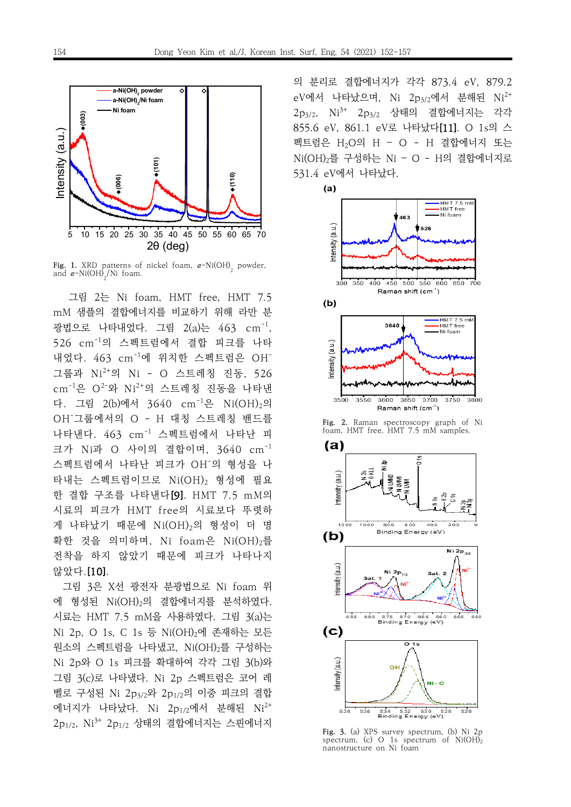

**Fig. 1.** XRD patterns of nickel foam, α-Ni(OH)<sub>2</sub> powder,<br>and α Ni(OH) (Ni foam and  $\alpha$ -Ni(OH)<sub>2</sub>/Ni foam.

그림 2는 Ni foam, HMT free, HMT 7.5 mM 샘플의 결합에너지를 비교하기 위해 라만 분 광법으로 나타내었다. 그림 2(a)는 463 cm $^{-1}$ , 526 cm-1의 스펙트럼에서 결합 피크를 나타 내었다. 463 cm<sup>-1</sup>에 위치한 스펙트럼은 OH<sup>-</sup> 그룹과 Ni 2+의 Ni - O 스트레칭 진동, 526 cm<sup>-1</sup>은 O<sup>2-</sup>와 Ni<sup>2+</sup>의 스트레칭 진동을 나타낸 다. 그림 2(b)에서 3640 cm<sup>-1</sup>은 Ni(OH)<sub>2</sub>의 OH -그룹에서의 O - H 대칭 스트레칭 밴드를 나타낸다. 463 cm-1 스펙트럼에서 나타난 피 크가 Ni과 O 사이의 결합이며, 3640 cm<sup>-1</sup> 스펙트럼에서 나타난 피크가 OH -의 형성을 나 타내는 스펙트럼이므로 Ni(OH)<sup>2</sup> 형성에 필요 한 결합 구조를 나타낸다[9]. HMT 7.5 mM의 시료의 피크가 HMT free의 시료보다 뚜렷하 게 나타났기 때문에 Ni(OH)<sub>2</sub>의 형성이 더 명 확한 것을 의미하며, Ni foam은 Ni(OH)2를 전착을 하지 않았기 때문에 피크가 나타나지 않았다.[10].

그림 3은 X선 광전자 분광법으로 Ni foam 위 에 형성된 Ni(OH)2의 결합에너지를 분석하였다. 시료는 HMT 7.5 mM을 사용하였다. 그림 3(a)는 Ni 2p, O 1s, C 1s 등 Ni(OH)2에 존재하는 모든 원소의 스펙트럼을 나타냈고, Ni(OH)2를 구성하는 Ni 2p와 O 1s 피크를 확대하여 각각 그림 3(b)와 그림 3(c)로 나타냈다. Ni 2p 스펙트럼은 코어 레 벨로 구성된 Ni 2p3/2와 2p1/2의 이중 피크의 결합 에너지가 나타났다. Ni 2p1/2에서 분해된 Ni<sup>2+</sup> 2 $\rm p_{1/2}$ ,  $\rm Ni^{3+}$  2 $\rm p_{1/2}$  상태의 결합에너지는 스핀에너지

의 분리로 결합에너지가 각각 873.4 eV, 879.2  $\rm eV$ 에서 나타났으며, Ni 2 $\rm p_{3/2}$ 에서 분해된 Ni $^{2+}$ 2 $p_{3/2}$ ,  $\mathrm{Ni^{3+}}$  2 $p_{3/2}$  상태의 결합에너지는 각각 855.6 eV, 861.1 eV로 나타났다[11]. O 1s의 스 펙트럼은 H2O의 H – O - H 결합에너지 또는 Ni(OH)2를 구성하는 Ni – O - H의 결합에너지로 531.4 eV에서 나타났다.



**Fig. 2.** Raman spectroscopy graph of Ni foam, HMT free, HMT 7.5 mM samples.



**Fig. 3.** (a) XPS survey spectrum, (b) Ni 2p spectrum, (c) O 1s spectrum of  $Ni(OH)_2$ nanostructure on Ni foam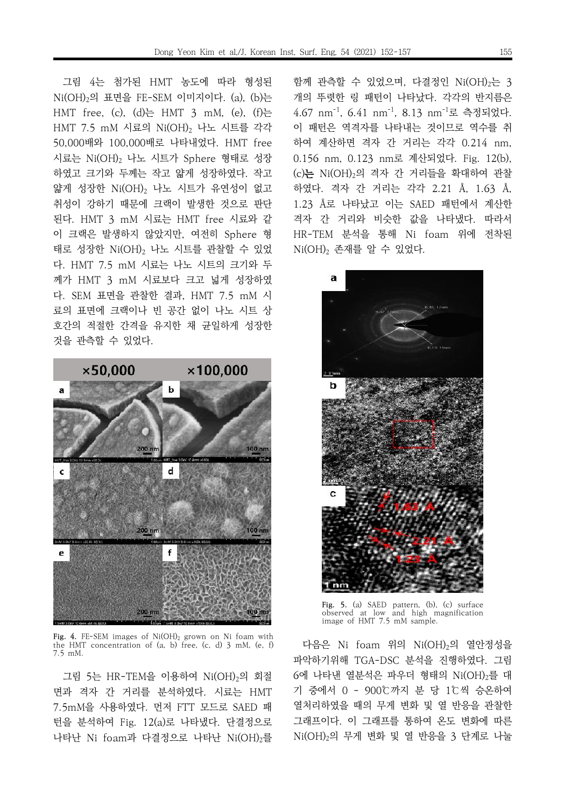그림 4는 첨가된 HMT 농도에 따라 형성된 Ni(OH)2의 표면을 FE-SEM 이미지이다. (a), (b)는 HMT free, (c), (d)는 HMT 3 mM, (e), (f)는 HMT 7.5 mM 시료의 Ni(OH)<sup>2</sup> 나노 시트를 각각 50,000배와 100,000배로 나타내었다. HMT free 시료는 Ni(OH)<sup>2</sup> 나노 시트가 Sphere 형태로 성장 하였고 크기와 두께는 작고 얇게 성장하였다. 작고 얇게 성장한 Ni(OH), 나노 시트가 유연성이 없고 취성이 강하기 때문에 크랙이 발생한 것으로 판단 된다. HMT 3 mM 시료는 HMT free 시료와 같 이 크랙은 발생하지 않았지만, 여전히 Sphere 형 태로 성장한 Ni(OH)<sup>2</sup> 나노 시트를 관찰할 수 있었 다. HMT 7.5 mM 시료는 나노 시트의 크기와 두 께가 HMT 3 mM 시료보다 크고 넓게 성장하였 다. SEM 표면을 관찰한 결과, HMT 7.5 mM 시 료의 표면에 크랙이나 빈 공간 없이 나노 시트 상 호간의 적절한 간격을 유지한 채 균일하게 성장한 것을 관측할 수 있었다.



**Fig. 4.** FE-SEM images of Ni(OH)<sup>2</sup> grown on Ni foam with the HMT concentration of (a, b) free, (c, d) 3 mM, (e, f) 7.5 mM.

그림 5는 HR-TEM을 이용하여 Ni(OH)2의 회절 면과 격자 간 거리를 분석하였다. 시료는 HMT 7.5mM을 사용하였다. 먼저 FTT 모드로 SAED 패 턴을 분석하여 Fig. 12(a)로 나타냈다. 단결정으로 나타난 Ni foam과 다결정으로 나타난 Ni(OH)2를 함께 관측할 수 있었으며, 다결정인 Ni(OH)<sub>2</sub>는 3 개의 뚜렷한 링 패턴이 나타났다. 각각의 반지름은 4.67 nm<sup>-1</sup>, 6.41 nm<sup>-1</sup>, 8.13 nm<sup>-1</sup>로 측정되었다. 이 패턴은 역격자를 나타내는 것이므로 역수를 취 하여 계산하면 격자 간 거리는 각각 0.214 nm, 0.156 nm, 0.123 nm로 계산되었다. Fig. 12(b), (c)는 Ni(OH)2의 격자 간 거리들을 확대하여 관찰 하였다. 격자 간 거리는 각각 2.21 Å, 1.63 Å, 1.23 Å로 나타났고 이는 SAED 패턴에서 계산한 격자 간 거리와 비슷한 값을 나타냈다. 따라서 HR-TEM 분석을 통해 Ni foam 위에 전착된  $Ni(OH)_2$  존재를 알 수 있었다.



**Fig. 5.** (a) SAED pattern, (b), (c) surface observed at low and high magnification image of HMT 7.5 mM sample.

다음은 Ni foam 위의 Ni(OH)2의 열안정성을 파악하기위해 TGA-DSC 분석을 진행하였다. 그림 6에 나타낸 열분석은 파우더 형태의 Ni(OH)<sub>2</sub>를 대 기 중에서 0 - 900℃까지 분 당 1℃씩 승온하여 열처리하였을 때의 무게 변화 및 열 반응을 관찰한 그래프이다. 이 그래프를 통하여 온도 변화에 따른 Ni(OH)2의 무게 변화 및 열 반응을 3 단계로 나눌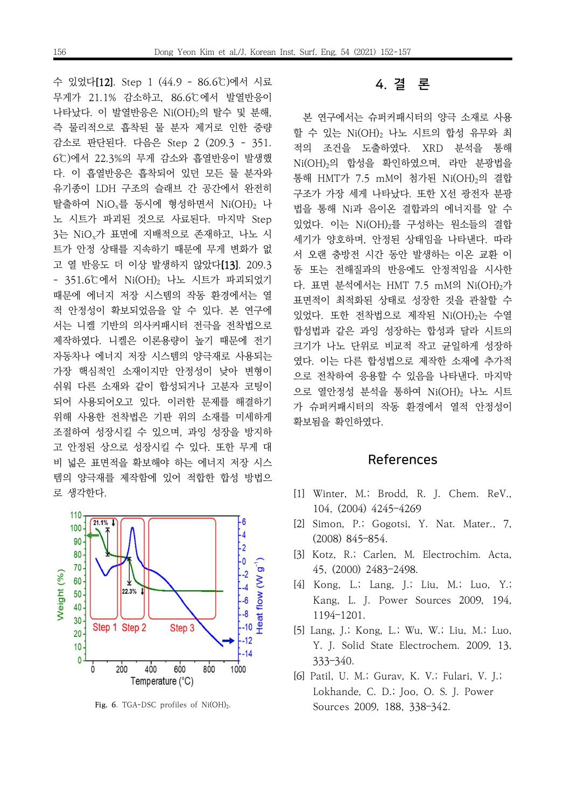수 있었다[12]. Step 1 (44.9 - 86.6℃)에서 시료 무게가 21.1% 감소하고, 86.6℃에서 발열반응이 나타났다. 이 발열반응은 Ni(OH)2의 탈수 및 분해, 즉 물리적으로 흡착된 물 분자 제거로 인한 중량 감소로 판단된다. 다음은 Step 2 (209.3 - 351. 6℃)에서 22.3%의 무게 감소와 흡열반응이 발생했 다. 이 흡열반응은 흡착되어 있던 모든 물 분자와 유기종이 LDH 구조의 슬래브 간 공간에서 완전히 탈출하여 NiO<sub>x</sub>를 동시에 형성하면서 Ni(OH)<sub>2</sub> 나 노 시트가 파괴된 것으로 사료된다. 마지막 Step 3는 NiOx가 표면에 지배적으로 존재하고, 나노 시 트가 안정 상태를 지속하기 때문에 무게 변화가 없 고 열 반응도 더 이상 발생하지 않았다[13]. 209.3 - 351.6℃에서 Ni(OH)2 나노 시트가 파괴되었기 때문에 에너지 저장 시스템의 작동 환경에서는 열 적 안정성이 확보되었음을 알 수 있다. 본 연구에 서는 니켈 기반의 의사커패시터 전극을 전착법으로 제작하였다. 니켈은 이론용량이 높기 때문에 전기 자동차나 에너지 저장 시스템의 양극재로 사용되는 가장 핵심적인 소재이지만 안정성이 낮아 변형이 쉬워 다른 소재와 같이 합성되거나 고분자 코팅이 되어 사용되어오고 있다. 이러한 문제를 해결하기 위해 사용한 전착법은 기판 위의 소재를 미세하게 조절하여 성장시킬 수 있으며, 과잉 성장을 방지하 고 안정된 상으로 성장시킬 수 있다. 또한 무게 대 비 넓은 표면적을 확보해야 하는 에너지 저장 시스 템의 양극재를 제작함에 있어 적합한 합성 방법으 로 생각한다.



Fig. 6. TGA-DSC profiles of Ni(OH)<sub>2</sub>.

# 4. 결 론

본 연구에서는 슈퍼커패시터의 양극 소재로 사용 할 수 있는 Ni(OH)2 나노 시트의 합성 유무와 최 적의 조건을 도출하였다. XRD 분석을 통해 Ni(OH)2의 합성을 확인하였으며, 라만 분광법을 통해 HMT가 7.5 mM이 첨가된 Ni(OH)2의 결합 구조가 가장 세게 나타났다. 또한 X선 광전자 분광 법을 통해 Ni과 음이온 결합과의 에너지를 알 수 있었다. 이는 Ni(OH)2를 구성하는 원소들의 결합 세기가 양호하며, 안정된 상태임을 나타낸다. 따라 서 오랜 충방전 시간 동안 발생하는 이온 교환 이 동 또는 전해질과의 반응에도 안정적임을 시사한 다. 표면 분석에서는 HMT 7.5 mM의 Ni(OH)2가 표면적이 최적화된 상태로 성장한 것을 관찰할 수 있었다. 또한 전착법으로 제작된 Ni(OH)2는 수열 합성법과 같은 과잉 성장하는 합성과 달라 시트의 크기가 나노 단위로 비교적 작고 균일하게 성장하 였다. 이는 다른 합성법으로 제작한 소재에 추가적 으로 전착하여 응용할 수 있음을 나타낸다. 마지막 으로 열안정성 분석을 통하여 Ni(OH)2 나노 시트 가 슈퍼커패시터의 작동 환경에서 열적 안정성이 확보됨을 확인하였다.

## References

- [1] Winter, M.; Brodd, R. J. Chem. ReV., 104, (2004) 4245–4269
- [2] Simon, P.; Gogotsi, Y. Nat. Mater., 7, (2008) 845–854.
- [3] Kotz, R.; Carlen, M. Electrochim. Acta, 45, (2000) 2483–2498.
- [4] Kong, L.; Lang, J.; Liu, M.; Luo, Y.; Kang, L. J. Power Sources 2009, 194, 1194–1201.
- [5] Lang, J.; Kong, L.; Wu, W.; Liu, M.; Luo, Y. J. Solid State Electrochem. 2009, 13, 333–340.
- [6] Patil, U. M.; Gurav, K. V.; Fulari, V. J.; Lokhande, C. D.; Joo, O. S. J. Power Sources 2009, 188, 338–342.